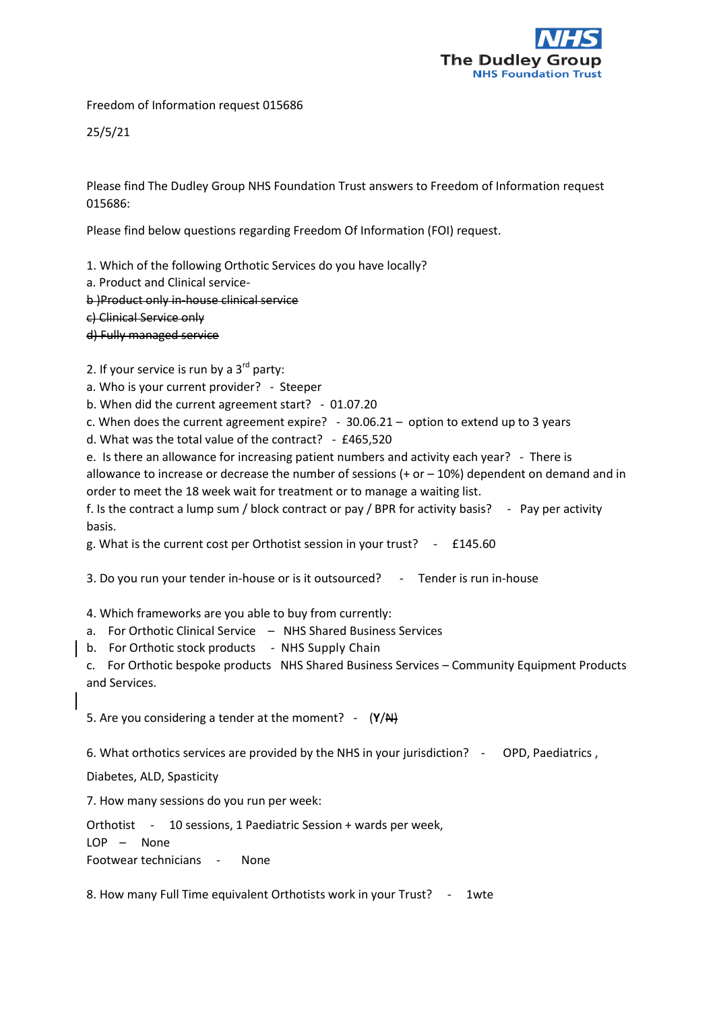

Freedom of Information request 015686

25/5/21

Please find The Dudley Group NHS Foundation Trust answers to Freedom of Information request 015686:

Please find below questions regarding Freedom Of Information (FOI) request.

1. Which of the following Orthotic Services do you have locally?

a. Product and Clinical service-

b )Product only in-house clinical service

c) Clinical Service only

d) Fully managed service

2. If your service is run by a  $3<sup>rd</sup>$  party:

a. Who is your current provider? - Steeper

b. When did the current agreement start? - 01.07.20

c. When does the current agreement expire? - 30.06.21 – option to extend up to 3 years

d. What was the total value of the contract? - £465,520

e. Is there an allowance for increasing patient numbers and activity each year? - There is allowance to increase or decrease the number of sessions  $(+ or -10%)$  dependent on demand and in order to meet the 18 week wait for treatment or to manage a waiting list.

f. Is the contract a lump sum / block contract or pay / BPR for activity basis? - Pay per activity basis.

g. What is the current cost per Orthotist session in your trust? - £145.60

3. Do you run your tender in-house or is it outsourced? - Tender is run in-house

4. Which frameworks are you able to buy from currently:

- a. For Orthotic Clinical Service NHS Shared Business Services
- b. For Orthotic stock products NHS Supply Chain

c. For Orthotic bespoke products NHS Shared Business Services – Community Equipment Products and Services.

5. Are you considering a tender at the moment? - (**Y**/N)

6. What orthotics services are provided by the NHS in your jurisdiction? - OPD, Paediatrics ,

Diabetes, ALD, Spasticity

7. How many sessions do you run per week:

Orthotist - 10 sessions, 1 Paediatric Session + wards per week,

LOP – None Footwear technicians - None

8. How many Full Time equivalent Orthotists work in your Trust? - 1wte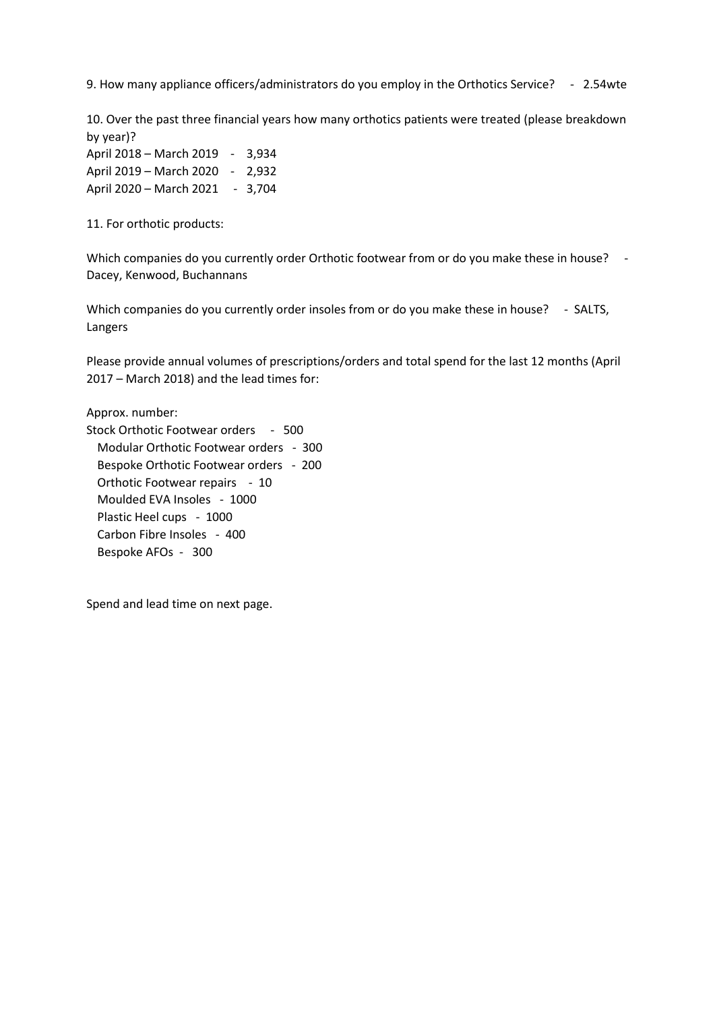9. How many appliance officers/administrators do you employ in the Orthotics Service? - 2.54wte

10. Over the past three financial years how many orthotics patients were treated (please breakdown by year)?

April 2018 – March 2019 - 3,934 April 2019 – March 2020 - 2,932 April 2020 – March 2021 - 3,704

11. For orthotic products:

Which companies do you currently order Orthotic footwear from or do you make these in house? -Dacey, Kenwood, Buchannans

Which companies do you currently order insoles from or do you make these in house? - SALTS, Langers

Please provide annual volumes of prescriptions/orders and total spend for the last 12 months (April 2017 – March 2018) and the lead times for:

Approx. number:

Stock Orthotic Footwear orders - 500 Modular Orthotic Footwear orders - 300 Bespoke Orthotic Footwear orders - 200 Orthotic Footwear repairs - 10 Moulded EVA Insoles - 1000 Plastic Heel cups - 1000 Carbon Fibre Insoles - 400 Bespoke AFOs - 300

Spend and lead time on next page.